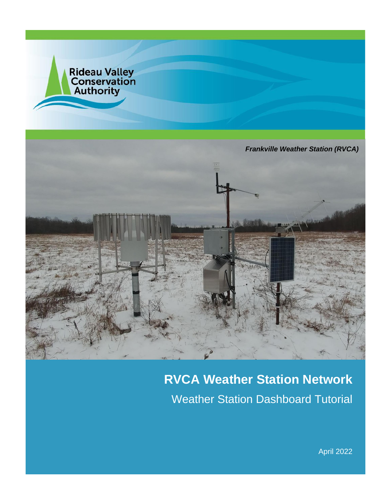

# **RVCA Weather Station Network** Weather Station Dashboard Tutorial

April 2022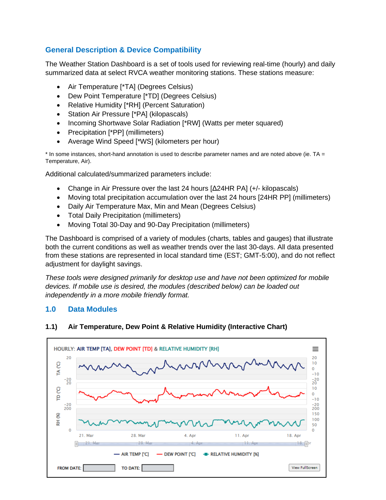# **General Description & Device Compatibility**

The Weather Station Dashboard is a set of tools used for reviewing real-time (hourly) and daily summarized data at select RVCA weather monitoring stations. These stations measure:

- Air Temperature [\*TA] (Degrees Celsius)
- Dew Point Temperature [\*TD] (Degrees Celsius)
- Relative Humidity [\*RH] (Percent Saturation)
- Station Air Pressure [\*PA] (kilopascals)
- Incoming Shortwave Solar Radiation [\*RW] (Watts per meter squared)
- Precipitation [\*PP] (millimeters)
- Average Wind Speed [\*WS] (kilometers per hour)

\* In some instances, short-hand annotation is used to describe parameter names and are noted above (ie. TA = Temperature, Air).

Additional calculated/summarized parameters include:

- Change in Air Pressure over the last 24 hours [Δ24HR PA] (+/- kilopascals)
- Moving total precipitation accumulation over the last 24 hours [24HR PP] (millimeters)
- Daily Air Temperature Max, Min and Mean (Degrees Celsius)
- Total Daily Precipitation (millimeters)
- Moving Total 30-Day and 90-Day Precipitation (millimeters)

The Dashboard is comprised of a variety of modules (charts, tables and gauges) that illustrate both the current conditions as well as weather trends over the last 30-days. All data presented from these stations are represented in local standard time (EST; GMT-5:00), and do not reflect adjustment for daylight savings.

*These tools were designed primarily for desktop use and have not been optimized for mobile devices. If mobile use is desired, the modules (described below) can be loaded out independently in a more mobile friendly format.*

#### **1.0 Data Modules**



#### **1.1) Air Temperature, Dew Point & Relative Humidity (Interactive Chart)**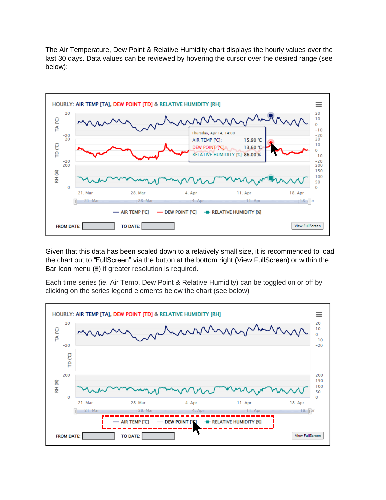The Air Temperature, Dew Point & Relative Humidity chart displays the hourly values over the last 30 days. Data values can be reviewed by hovering the cursor over the desired range (see below):



Given that this data has been scaled down to a relatively small size, it is recommended to load the chart out to "FullScreen" via the button at the bottom right (View FullScreen) or within the Bar Icon menu (**≡**) if greater resolution is required.

Each time series (ie. Air Temp, Dew Point & Relative Humidity) can be toggled on or off by clicking on the series legend elements below the chart (see below)

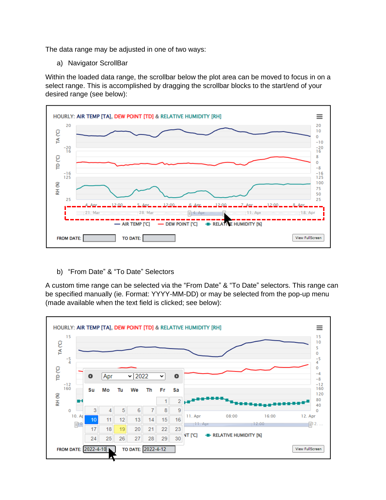The data range may be adjusted in one of two ways:

a) Navigator ScrollBar

Within the loaded data range, the scrollbar below the plot area can be moved to focus in on a select range. This is accomplished by dragging the scrollbar blocks to the start/end of your desired range (see below):



b) "From Date" & "To Date" Selectors

A custom time range can be selected via the "From Date" & "To Date" selectors. This range can be specified manually (ie. Format: YYYY-MM-DD) or may be selected from the pop-up menu (made available when the text field is clicked; see below):

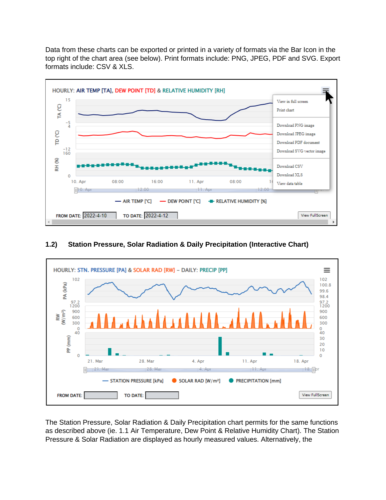Data from these charts can be exported or printed in a variety of formats via the Bar Icon in the top right of the chart area (see below). Print formats include: PNG, JPEG, PDF and SVG. Export formats include: CSV & XLS.



#### **1.2) Station Pressure, Solar Radiation & Daily Precipitation (Interactive Chart)**



The Station Pressure, Solar Radiation & Daily Precipitation chart permits for the same functions as described above (ie. 1.1 Air Temperature, Dew Point & Relative Humidity Chart). The Station Pressure & Solar Radiation are displayed as hourly measured values. Alternatively, the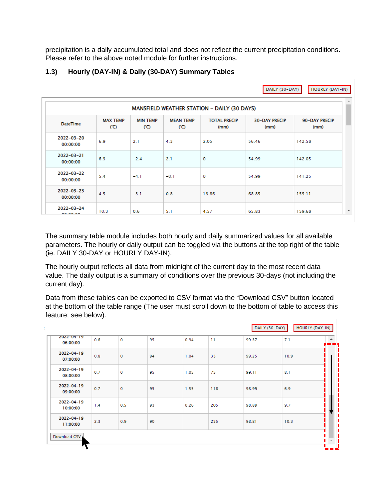precipitation is a daily accumulated total and does not reflect the current precipitation conditions. Please refer to the above noted module for further instructions.

## **1.3) Hourly (DAY-IN) & Daily (30-DAY) Summary Tables**

|                               |                                             |                        |                         |                             | DAILY (30-DAY)               | HOURLY (DAY-IN)       |  |  |  |  |  |  |
|-------------------------------|---------------------------------------------|------------------------|-------------------------|-----------------------------|------------------------------|-----------------------|--|--|--|--|--|--|
|                               | MANSFIELD WEATHER STATION - DAILY (30 DAYS) |                        |                         |                             |                              |                       |  |  |  |  |  |  |
| <b>DateTime</b>               | <b>MAX TEMP</b><br>(C)                      | <b>MIN TEMP</b><br>(C) | <b>MEAN TEMP</b><br>(C) | <b>TOTAL PRECIP</b><br>(mm) | <b>30-DAY PRECIP</b><br>(mm) | 90-DAY PRECIP<br>(mm) |  |  |  |  |  |  |
| 2022-03-20<br>00:00:00        | 6.9                                         | 2.1                    | 4.3                     | 2.05                        | 56.46                        | 142.58                |  |  |  |  |  |  |
| $2022 - 03 - 21$<br>00:00:00  | 6.3                                         | $-2.4$                 | 2.1                     | 0                           | 54.99                        | 142.05                |  |  |  |  |  |  |
| 2022-03-22<br>00:00:00        | 5.4                                         | $-4.1$                 | $-0.1$                  | 0                           | 54.99                        | 141.25                |  |  |  |  |  |  |
| $2022 - 03 - 23$<br>00:00:00  | 4.5                                         | $-3.1$                 | 0.8                     | 13.86                       | 68.85                        | 155.11                |  |  |  |  |  |  |
| $2022 - 03 - 24$<br>A A A A A | 10.3                                        | 0.6                    | 5.1                     | 4.57                        | 65.83                        | 159.68                |  |  |  |  |  |  |

The summary table module includes both hourly and daily summarized values for all available parameters. The hourly or daily output can be toggled via the buttons at the top right of the table (ie. DAILY 30-DAY or HOURLY DAY-IN).

The hourly output reflects all data from midnight of the current day to the most recent data value. The daily output is a summary of conditions over the previous 30-days (not including the current day).

Data from these tables can be exported to CSV format via the "Download CSV" button located at the bottom of the table range (The user must scroll down to the bottom of table to access this feature; see below).

| 2022-04-19<br>06:00:00       | 0.6 | $\mathbf 0$ | 95 | 0.94 | 11  | 99.37 | 7.1  |  |
|------------------------------|-----|-------------|----|------|-----|-------|------|--|
| $2022 - 04 - 19$<br>07:00:00 | 0.8 | $\mathbf 0$ | 94 | 1.04 | 33  | 99.25 | 10.9 |  |
| $2022 - 04 - 19$<br>08:00:00 | 0.7 | o           | 95 | 1.05 | 75  | 99.11 | 8.1  |  |
| $2022 - 04 - 19$<br>09:00:00 | 0.7 | $\circ$     | 95 | 1.55 | 118 | 98.99 | 6.9  |  |
| $2022 - 04 - 19$<br>10:00:00 | 1.4 | 0.5         | 93 | 0.26 | 205 | 98.89 | 9.7  |  |
| $2022 - 04 - 19$<br>11:00:00 | 2.3 | 0.9         | 90 |      | 235 | 98.81 | 10.3 |  |